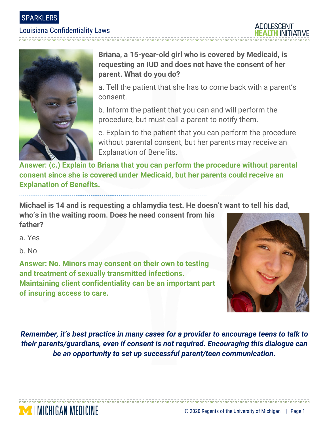SPARKLERS

### Louisiana Confidentiality Laws



## **Briana, a 15-year-old girl who is covered by Medicaid, is requesting an IUD and does not have the consent of her parent. What do you do?**

a. Tell the patient that she has to come back with a parent's consent.

b. Inform the patient that you can and will perform the procedure, but must call a parent to notify them.

c. Explain to the patient that you can perform the procedure without parental consent, but her parents may receive an Explanation of Benefits.

**Answer: (c.) Explain to Briana that you can perform the procedure without parental consent since she is covered under Medicaid, but her parents could receive an Explanation of Benefits.** 

**Michael is 14 and is requesting a chlamydia test. He doesn't want to tell his dad,** 

**who's in the waiting room. Does he need consent from his father?**

a. Yes

b. No

MICHIGAN MEDICINE

**Answer: No. Minors may consent on their own to testing and treatment of sexually transmitted infections. Maintaining client confidentiality can be an important part of insuring access to care.** 



*Remember, it's best practice in many cases for a provider to encourage teens to talk to their parents/guardians, even if consent is not required. Encouraging this dialogue can be an opportunity to set up successful parent/teen communication.*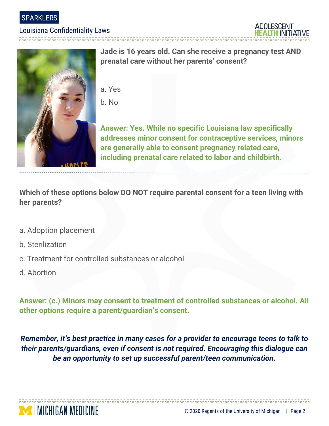SPARKLERS

#### Louisiana Confidentiality Laws





**Jade is 16 years old. Can she receive a pregnancy test AND prenatal care without her parents' consent?**

a. Yes

b. No

**Answer: Yes. While no specific Louisiana law specifically addresses minor consent for contraceptive services, minors are generally able to consent pregnancy related care, including prenatal care related to labor and childbirth.**

**Which of these options below DO NOT require parental consent for a teen living with her parents?**

- a. Adoption placement
- b. Sterilization
- c. Treatment for controlled substances or alcohol
- d. Abortion

**Answer: (c.) Minors may consent to treatment of controlled substances or alcohol. All other options require a parent/guardian's consent.** 

*Remember, it's best practice in many cases for a provider to encourage teens to talk to their parents/guardians, even if consent is not required. Encouraging this dialogue can be an opportunity to set up successful parent/teen communication.*

00000000000000000000000000000000